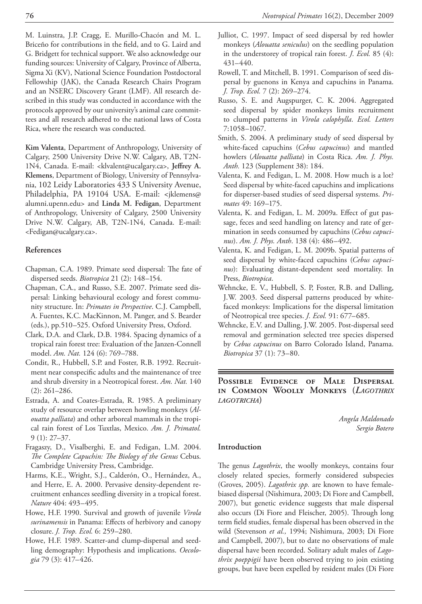M. Luinstra, J.P. Cragg, E. Murillo-Chacón and M. L. Briceño for contributions in the field, and to G. Laird and G. Bridgett for technical support. We also acknowledge our funding sources: University of Calgary, Province of Alberta, Sigma Xi (KV), National Science Foundation Postdoctoral Fellowship (JAK), the Canada Research Chairs Program and an NSERC Discovery Grant (LMF). All research described in this study was conducted in accordance with the protocols approved by our university's animal care committees and all research adhered to the national laws of Costa Rica, where the research was conducted.

**Kim Valenta**, Department of Anthropology, University of Calgary, 2500 University Drive N.W. Calgary, AB, T2N-1N4, Canada. E-mail: <klvalent@ucalgary.ca>, **Jeffrey A. Klemens**, Department of Biology, University of Pennsylvania, 102 Leidy Laboratories 433 S University Avenue, Philadelphia, PA 19104 USA. E-mail: <jklemens@ alumni.upenn.edu> and **Linda M. Fedigan**, Department of Anthropology, University of Calgary, 2500 University Drive N.W. Calgary, AB, T2N-1N4, Canada. E-mail: <Fedigan@ucalgary.ca>.

### **References**

- Chapman, C.A. 1989. Primate seed dispersal: The fate of dispersed seeds. *Biotropica* 21 (2): 148–154.
- Chapman, C.A., and Russo, S.E. 2007. Primate seed dispersal: Linking behavioural ecology and forest community structure. In: *Primates in Perspective*. C.J. Campbell, A. Fuentes, K.C. MacKinnon, M. Panger, and S. Bearder (eds.), pp.510–525. Oxford University Press, Oxford.
- Clark, D.A. and Clark, D.B. 1984. Spacing dynamics of a tropical rain forest tree: Evaluation of the Janzen-Connell model. *Am. Nat.* 124 (6): 769–788.
- Condit, R., Hubbell, S.P. and Foster, R.B. 1992. Recruitment near conspecific adults and the maintenance of tree and shrub diversity in a Neotropical forest. *Am. Nat.* 140 (2): 261–286.
- Estrada, A. and Coates-Estrada, R. 1985. A preliminary study of resource overlap between howling monkeys (*Alouatta palliata*) and other arboreal mammals in the tropical rain forest of Los Tuxtlas, Mexico. *Am. J. Primatol.* 9 (1): 27–37.
- Fragaszy, D., Visalberghi, E. and Fedigan, L.M. 2004. *The Complete Capuchin: The Biology of the Genus* Cebus. Cambridge University Press, Cambridge.
- Harms, K.E., Wright, S.J., Calderón, O., Hernández, A., and Herre, E. A. 2000. Pervasive density-dependent recruitment enhances seedling diversity in a tropical forest. *Nature* 404: 493–495.
- Howe, H.F. 1990. Survival and growth of juvenile *Virola surinamensis* in Panama: Effects of herbivory and canopy closure. *J. Trop. Ecol.* 6: 259–280.
- Howe, H.F. 1989. Scatter-and clump-dispersal and seedling demography: Hypothesis and implications. *Oecologia* 79 (3): 417–426.
- Julliot, C. 1997. Impact of seed dispersal by red howler monkeys (*Alouatta seniculus*) on the seedling population in the understorey of tropical rain forest. *J. Ecol.* 85 (4): 431–440.
- Rowell, T. and Mitchell, B. 1991. Comparison of seed dispersal by guenons in Kenya and capuchins in Panama. *J. Trop. Ecol.* 7 (2): 269–274.
- Russo, S. E. and Augspurger, C. K. 2004. Aggregated seed dispersal by spider monkeys limits recruitment to clumped patterns in *Virola calophylla*. *Ecol. Letters* 7:1058–1067.
- Smith, S. 2004. A preliminary study of seed dispersal by white-faced capuchins (*Cebus capucinus*) and mantled howlers (*Alouatta palliata*) in Costa Rica. *Am. J. Phys. Anth.* 123 (Supplement 38): 184.
- Valenta, K. and Fedigan, L. M. 2008. How much is a lot? Seed dispersal by white-faced capuchins and implications for disperser-based studies of seed dispersal systems. *Primates* 49: 169–175.
- Valenta, K. and Fedigan, L. M. 2009a. Effect of gut passage, feces and seed handling on latency and rate of germination in seeds consumed by capuchins (*Cebus capucinus*). *Am. J. Phys. Anth*. 138 (4): 486–492.
- Valenta, K. and Fedigan, L. M. 2009b. Spatial patterns of seed dispersal by white-faced capuchins (*Cebus capucinus*): Evaluating distant-dependent seed mortality. In Press, *Biotropica*.
- Wehncke, E. V., Hubbell, S. P, Foster, R.B. and Dalling, J.W. 2003. Seed dispersal patterns produced by whitefaced monkeys: Implications for the dispersal limitation of Neotropical tree species. *J. Ecol.* 91: 677–685.
- Wehncke, E.V. and Dalling, J.W. 2005. Post-dispersal seed removal and germination selected tree species dispersed by *Cebus capucinus* on Barro Colorado Island, Panama. *Biotropica* 37 (1): 73–80.

**Possible Evidence of Male Dispersal in Common Woolly Monkeys (***Lagothrix lagotricha***)**

> *Angela Maldonado Sergio Botero*

#### **Introduction**

The genus *Lagothrix*, the woolly monkeys, contains four closely related species, formerly considered subspecies (Groves, 2005). *Lagothrix spp.* are known to have femalebiased dispersal (Nishimura, 2003; Di Fiore and Campbell, 2007), but genetic evidence suggests that male dispersal also occurs (Di Fiore and Fleischer, 2005). Through long term field studies, female dispersal has been observed in the wild (Stevenson *et al.,* 1994; Nishimura, 2003; Di Fiore and Campbell, 2007), but to date no observations of male dispersal have been recorded. Solitary adult males of *Lagothrix poeppigii* have been observed trying to join existing groups, but have been expelled by resident males (Di Fiore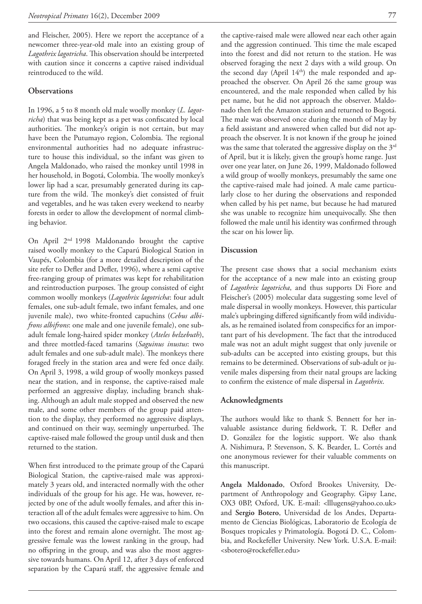and Fleischer, 2005). Here we report the acceptance of a newcomer three-year-old male into an existing group of *Lagothrix lagotricha*. This observation should be interpreted with caution since it concerns a captive raised individual reintroduced to the wild.

#### **Observations**

In 1996, a 5 to 8 month old male woolly monkey (*L. lagotricha*) that was being kept as a pet was confiscated by local authorities. The monkey's origin is not certain, but may have been the Putumayo region, Colombia. The regional environmental authorities had no adequate infrastructure to house this individual, so the infant was given to Angela Maldonado, who raised the monkey until 1998 in her household, in Bogotá, Colombia. The woolly monkey's lower lip had a scar, presumably generated during its capture from the wild. The monkey's diet consisted of fruit and vegetables, and he was taken every weekend to nearby forests in order to allow the development of normal climbing behavior.

On April 2nd 1998 Maldonando brought the captive raised woolly monkey to the Caparú Biological Station in Vaupés, Colombia (for a more detailed description of the site refer to Defler and Defler, 1996), where a semi captive free-ranging group of primates was kept for rehabilitation and reintroduction purposes. The group consisted of eight common woolly monkeys (*Lagothrix lagotricha*: four adult females, one sub-adult female, two infant females, and one juvenile male), two white-fronted capuchins (*Cebus albifrons albifrons*: one male and one juvenile female), one subadult female long-haired spider monkey (*Ateles belzebuth*), and three mottled-faced tamarins (*Saguinus inustus*: two adult females and one sub-adult male). The monkeys there foraged freely in the station area and were fed once daily. On April 3, 1998, a wild group of woolly monkeys passed near the station, and in response, the captive-raised male performed an aggressive display, including branch shaking. Although an adult male stopped and observed the new male, and some other members of the group paid attention to the display, they performed no aggressive displays, and continued on their way, seemingly unperturbed. The captive-raised male followed the group until dusk and then returned to the station.

When first introduced to the primate group of the Caparú Biological Station, the captive-raised male was approximately 3 years old, and interacted normally with the other individuals of the group for his age. He was, however, rejected by one of the adult woolly females, and after this interaction all of the adult females were aggressive to him. On two occasions, this caused the captive-raised male to escape into the forest and remain alone overnight. The most aggressive female was the lowest ranking in the group, had no offspring in the group, and was also the most aggressive towards humans. On April 12, after 3 days of enforced separation by the Caparú staff, the aggressive female and

the captive-raised male were allowed near each other again and the aggression continued. This time the male escaped into the forest and did not return to the station. He was observed foraging the next 2 days with a wild group. On the second day (April  $14<sup>th</sup>$ ) the male responded and approached the observer. On April 26 the same group was encountered, and the male responded when called by his pet name, but he did not approach the observer. Maldonado then left the Amazon station and returned to Bogotá. The male was observed once during the month of May by a field assistant and answered when called but did not approach the observer. It is not known if the group he joined was the same that tolerated the aggressive display on the 3<sup>rd</sup> of April, but it is likely, given the group's home range. Just over one year later, on June 26, 1999, Maldonado followed a wild group of woolly monkeys, presumably the same one the captive-raised male had joined. A male came particularly close to her during the observations and responded when called by his pet name, but because he had matured she was unable to recognize him unequivocally. She then followed the male until his identity was confirmed through the scar on his lower lip.

#### **Discussion**

The present case shows that a social mechanism exists for the acceptance of a new male into an existing group of *Lagothrix lagotricha*, and thus supports Di Fiore and Fleischer's (2005) molecular data suggesting some level of male dispersal in woolly monkeys. However, this particular male's upbringing differed significantly from wild individuals, as he remained isolated from conspecifics for an important part of his development. The fact that the introduced male was not an adult might suggest that only juvenile or sub-adults can be accepted into existing groups, but this remains to be determined. Observations of sub-adult or juvenile males dispersing from their natal groups are lacking to confirm the existence of male dispersal in *Lagothrix*.

### **Acknowledgments**

The authors would like to thank S. Bennett for her invaluable assistance during fieldwork, T. R. Defler and D. González for the logistic support. We also thank A. Nishimura, P. Stevenson, S. K. Bearder, L. Cortés and one anonymous reviewer for their valuable comments on this manuscript.

**Angela Maldonado**, Oxford Brookes University, Department of Anthropology and Geography. Gipsy Lane, OX3 0BP, Oxford, UK. E-mail: <lllugens@yahoo.co.uk> and **Sergio Botero**, Universidad de los Andes, Departamento de Ciencias Biológicas, Laboratorio de Ecología de Bosques tropicales y Primatología. Bogotá D. C., Colombia, and Rockefeller University. New York. U.S.A. E-mail: <sbotero@rockefeller.edu>